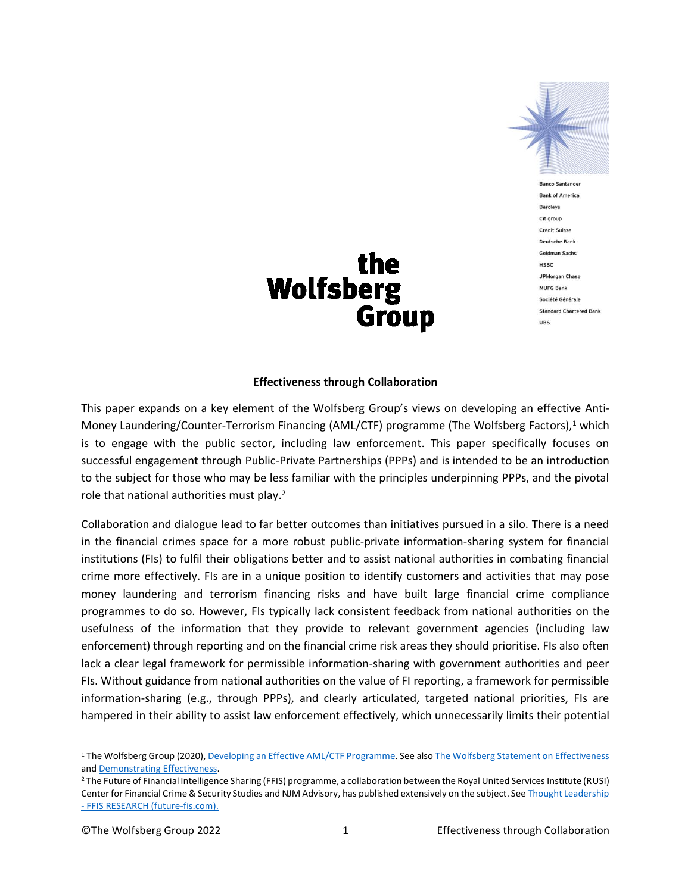

**Banco Santander Bank of America Barclays** Citigroup **Credit Suisse** Deutsche Bank Goldman Sachs **HSBC** JPMorgan Chase **MUFG Bank** Société Générale **Standard Chartered Bank UBS** 

# the **Wolfsberg Group**

#### **Effectiveness through Collaboration**

This paper expands on a key element of the Wolfsberg Group's views on developing an effective Anti-Money Laundering/Counter-Terrorism Financing (AML/CTF) programme (The Wolfsberg Factors), <sup>1</sup> which is to engage with the public sector, including law enforcement. This paper specifically focuses on successful engagement through Public-Private Partnerships (PPPs) and is intended to be an introduction to the subject for those who may be less familiar with the principles underpinning PPPs, and the pivotal role that national authorities must play.<sup>2</sup>

Collaboration and dialogue lead to far better outcomes than initiatives pursued in a silo. There is a need in the financial crimes space for a more robust public-private information-sharing system for financial institutions (FIs) to fulfil their obligations better and to assist national authorities in combating financial crime more effectively. FIs are in a unique position to identify customers and activities that may pose money laundering and terrorism financing risks and have built large financial crime compliance programmes to do so. However, FIs typically lack consistent feedback from national authorities on the usefulness of the information that they provide to relevant government agencies (including law enforcement) through reporting and on the financial crime risk areas they should prioritise. FIs also often lack a clear legal framework for permissible information-sharing with government authorities and peer FIs. Without guidance from national authorities on the value of FI reporting, a framework for permissible information-sharing (e.g., through PPPs), and clearly articulated, targeted national priorities, FIs are hampered in their ability to assist law enforcement effectively, which unnecessarily limits their potential

<sup>1</sup> The Wolfsberg Group (2020)[, Developing an Effective AML/CTF](https://www.wolfsberg-principles.com/sites/default/files/wb/Wolfsberg%20Effective%20Financial%20Crimes%20Programme%20-%20August2020%20%28FFP%29.pdf) Programme. See als[o The Wolfsberg Statement on Effectiveness](https://wolfsberg-principles.com/sites/default/files/wb/pdfs/Effectiveness%201%20pager%20Wolfsberg%20Group%202019%20FINAL_Publication.pdf) and [Demonstrating Effectiveness.](https://wolfsberg-principles.com/sites/default/files/wb/Wolfsberg%20Group_Demonstrating_%20Effectiveness_JUN21.pdf)

<sup>2</sup> The Future of Financial Intelligence Sharing (FFIS) programme, a collaboration between the Royal United Services Institute (RUSI) Center for Financial Crime & Security Studies and NJM Advisory, has published extensively on the subject. See Thought Leadership - [FFIS RESEARCH \(future-fis.com\).](https://www.future-fis.com/thought-leadership-in-partnership-development.html)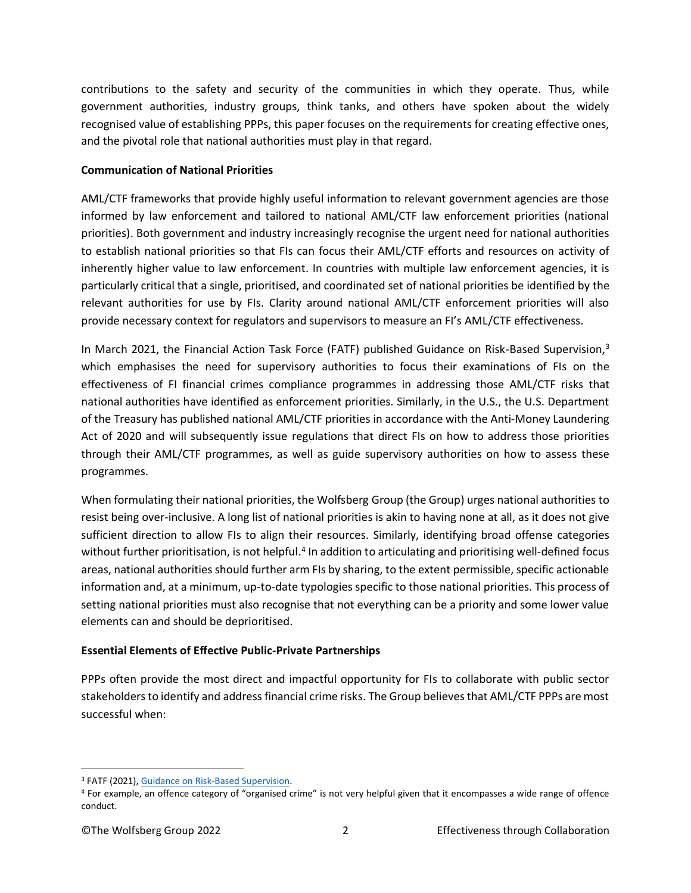contributions to the safety and security of the communities in which they operate. Thus, while government authorities, industry groups, think tanks, and others have spoken about the widely recognised value of establishing PPPs, this paper focuses on the requirements for creating effective ones, and the pivotal role that national authorities must play in that regard.

### **Communication of National Priorities**

AML/CTF frameworks that provide highly useful information to relevant government agencies are those informed by law enforcement and tailored to national AML/CTF law enforcement priorities (national priorities). Both government and industry increasingly recognise the urgent need for national authorities to establish national priorities so that FIs can focus their AML/CTF efforts and resources on activity of inherently higher value to law enforcement. In countries with multiple law enforcement agencies, it is particularly critical that a single, prioritised, and coordinated set of national priorities be identified by the relevant authorities for use by FIs. Clarity around national AML/CTF enforcement priorities will also provide necessary context for regulators and supervisors to measure an FI's AML/CTF effectiveness.

In March 2021, the Financial Action Task Force (FATF) published Guidance on Risk-Based Supervision,<sup>3</sup> which emphasises the need for supervisory authorities to focus their examinations of FIs on the effectiveness of FI financial crimes compliance programmes in addressing those AML/CTF risks that national authorities have identified as enforcement priorities*.* Similarly, in the U.S., the U.S. Department of the Treasury has published national AML/CTF priorities in accordance with the Anti-Money Laundering Act of 2020 and will subsequently issue regulations that direct FIs on how to address those priorities through their AML/CTF programmes, as well as guide supervisory authorities on how to assess these programmes.

When formulating their national priorities, the Wolfsberg Group (the Group) urges national authorities to resist being over-inclusive. A long list of national priorities is akin to having none at all, as it does not give sufficient direction to allow FIs to align their resources. Similarly, identifying broad offense categories without further prioritisation, is not helpful.<sup>4</sup> In addition to articulating and prioritising well-defined focus areas, national authorities should further arm FIs by sharing, to the extent permissible, specific actionable information and, at a minimum, up-to-date typologies specific to those national priorities. This process of setting national priorities must also recognise that not everything can be a priority and some lower value elements can and should be deprioritised.

## **Essential Elements of Effective Public-Private Partnerships**

PPPs often provide the most direct and impactful opportunity for FIs to collaborate with public sector stakeholders to identify and address financial crime risks. The Group believes that AML/CTF PPPs are most successful when:

<sup>3</sup> FATF (2021), [Guidance on Risk-Based Supervision.](https://www.fatf-gafi.org/media/fatf/documents/Guidance-Risk-Based-Supervision.pdf)

<sup>4</sup> For example, an offence category of "organised crime" is not very helpful given that it encompasses a wide range of offence conduct.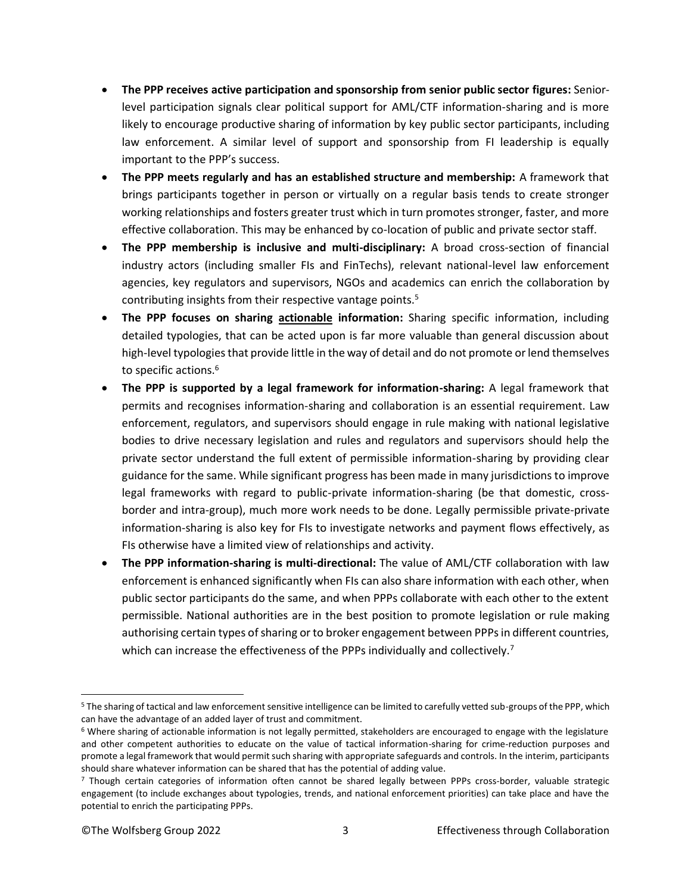- **The PPP receives active participation and sponsorship from senior public sector figures:** Seniorlevel participation signals clear political support for AML/CTF information-sharing and is more likely to encourage productive sharing of information by key public sector participants, including law enforcement. A similar level of support and sponsorship from FI leadership is equally important to the PPP's success.
- **The PPP meets regularly and has an established structure and membership:** A framework that brings participants together in person or virtually on a regular basis tends to create stronger working relationships and fosters greater trust which in turn promotes stronger, faster, and more effective collaboration. This may be enhanced by co-location of public and private sector staff.
- **The PPP membership is inclusive and multi-disciplinary:** A broad cross-section of financial industry actors (including smaller FIs and FinTechs), relevant national-level law enforcement agencies, key regulators and supervisors, NGOs and academics can enrich the collaboration by contributing insights from their respective vantage points.<sup>5</sup>
- **The PPP focuses on sharing actionable information:** Sharing specific information, including detailed typologies, that can be acted upon is far more valuable than general discussion about high-level typologies that provide little in the way of detail and do not promote or lend themselves to specific actions. 6
- **The PPP is supported by a legal framework for information-sharing:** A legal framework that permits and recognises information-sharing and collaboration is an essential requirement. Law enforcement, regulators, and supervisors should engage in rule making with national legislative bodies to drive necessary legislation and rules and regulators and supervisors should help the private sector understand the full extent of permissible information-sharing by providing clear guidance for the same. While significant progress has been made in many jurisdictions to improve legal frameworks with regard to public-private information-sharing (be that domestic, crossborder and intra-group), much more work needs to be done. Legally permissible private-private information-sharing is also key for FIs to investigate networks and payment flows effectively, as FIs otherwise have a limited view of relationships and activity.
- **The PPP information-sharing is multi-directional:** The value of AML/CTF collaboration with law enforcement is enhanced significantly when FIs can also share information with each other, when public sector participants do the same, and when PPPs collaborate with each other to the extent permissible. National authorities are in the best position to promote legislation or rule making authorising certain types of sharing or to broker engagement between PPPs in different countries, which can increase the effectiveness of the PPPs individually and collectively.<sup>7</sup>

<sup>5</sup> The sharing of tactical and law enforcement sensitive intelligence can be limited to carefully vetted sub-groups of the PPP, which can have the advantage of an added layer of trust and commitment.

<sup>&</sup>lt;sup>6</sup> Where sharing of actionable information is not legally permitted, stakeholders are encouraged to engage with the legislature and other competent authorities to educate on the value of tactical information-sharing for crime-reduction purposes and promote a legal framework that would permit such sharing with appropriate safeguards and controls. In the interim, participants should share whatever information can be shared that has the potential of adding value.

<sup>7</sup> Though certain categories of information often cannot be shared legally between PPPs cross-border, valuable strategic engagement (to include exchanges about typologies, trends, and national enforcement priorities) can take place and have the potential to enrich the participating PPPs.